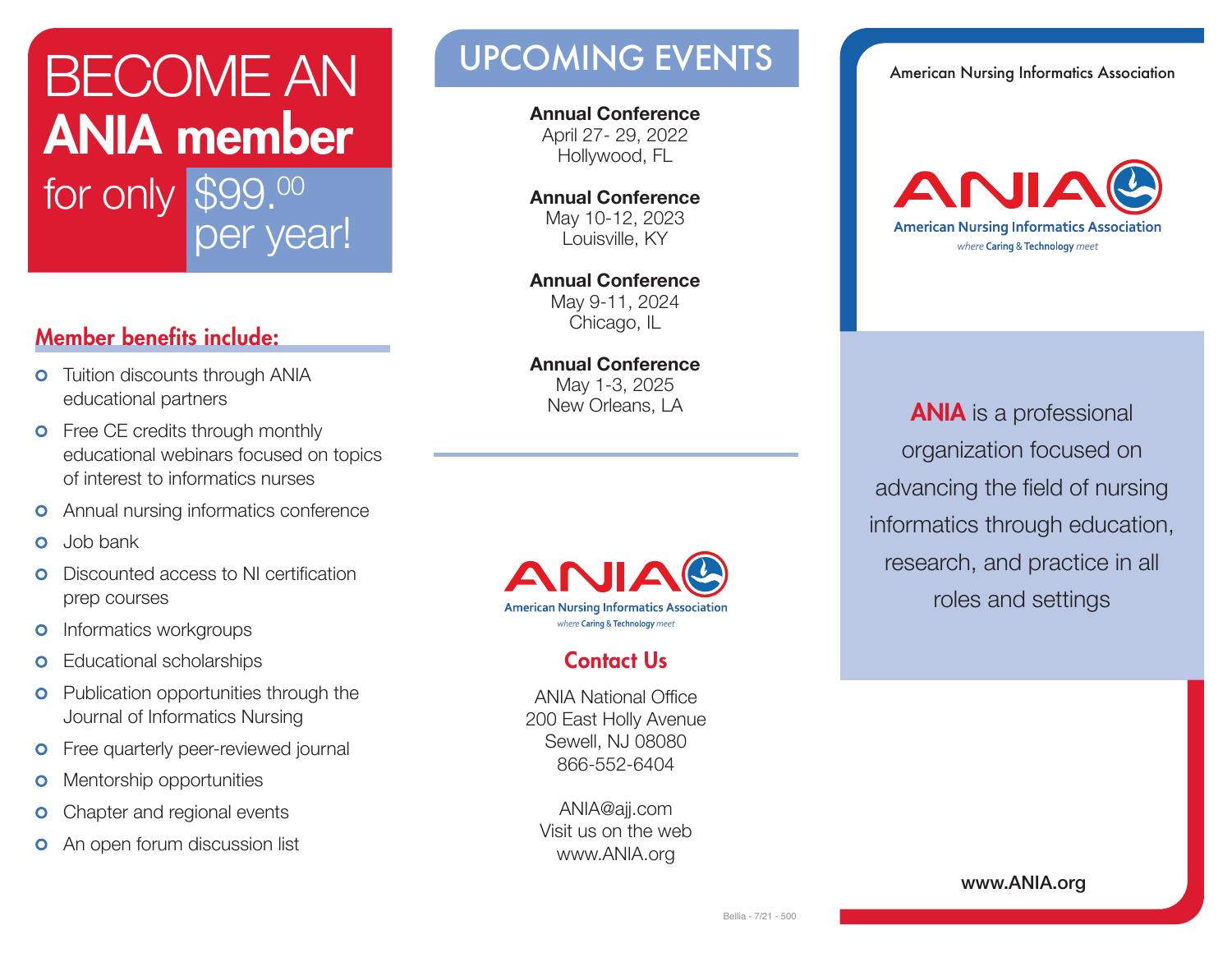# BECOME AN **ANIA member** for only \$99.00 per year!

### **Member benefits include:**

- **o** Tuition discounts through ANIA educational partners
- **o** Free CE credits through monthly educational webinars focused on topics of interest to informatics nurses
- **o** Annual nursing informatics conference
- Job bank  $\bullet$
- Discounted access to NI certification  $\Omega$ prep courses
- Informatics workgroups  $\bullet$
- Educational scholarships  $\bullet$
- **o** Publication opportunities through the Journal of Informatics Nursing
- Free quarterly peer-reviewed journal  $\bullet$
- Mentorship opportunities  $\mathbf{O}$
- Chapter and regional events  $\bullet$
- An open forum discussion list  $\bullet$

## UPCOMING EVENTS American Nursing Informatics Association

**Annual Conference**  April 27- 29, 2022 Hollywood, FL

**Annual Conference**  May 10-12, 2023 Louisville, KY

**Annual Conference**  May 9-11, 2024 Chicago, IL

**Annual Conference**  May 1-3, 2025 New Orleans, LA



#### **Contact Us**

ANIA National Office 200 East Holly Avenue Sewell, NJ 08080 866-552-6404

ANIA@ajj.com Visit us on the web www.ANIA.org



**ANIA** is a professional organization focused on advancing the field of nursing informatics through education, research, and practice in all roles and settings

**www.ANIA.org**